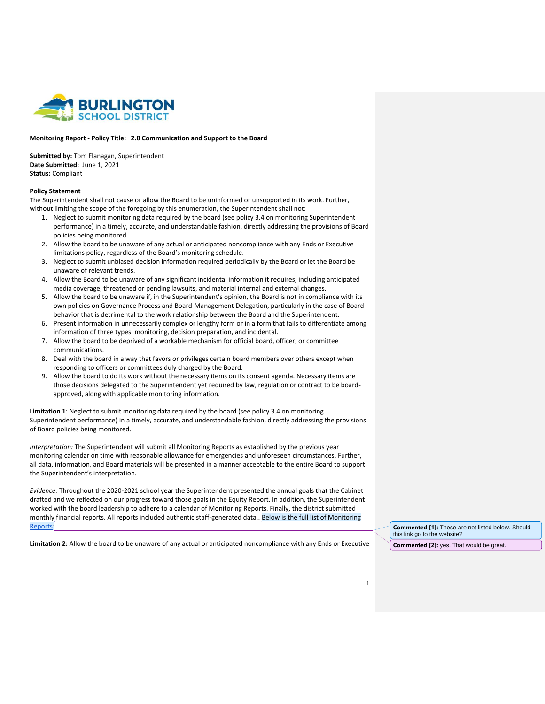

## **Monitoring Report - Policy Title: 2.8 Communication and Support to the Board**

**Submitted by:** Tom Flanagan, Superintendent **Date Submitted:** June 1, 2021 **Status:** Compliant

## **Policy Statement**

The Superintendent shall not cause or allow the Board to be uninformed or unsupported in its work. Further, without limiting the scope of the foregoing by this enumeration, the Superintendent shall not:

- 1. Neglect to submit monitoring data required by the board (see policy 3.4 on monitoring Superintendent performance) in a timely, accurate, and understandable fashion, directly addressing the provisions of Board policies being monitored.
- 2. Allow the board to be unaware of any actual or anticipated noncompliance with any Ends or Executive limitations policy, regardless of the Board's monitoring schedule.
- 3. Neglect to submit unbiased decision information required periodically by the Board or let the Board be unaware of relevant trends.
- 4. Allow the Board to be unaware of any significant incidental information it requires, including anticipated media coverage, threatened or pending lawsuits, and material internal and external changes.
- 5. Allow the board to be unaware if, in the Superintendent's opinion, the Board is not in compliance with its own policies on Governance Process and Board-Management Delegation, particularly in the case of Board behavior that is detrimental to the work relationship between the Board and the Superintendent.
- 6. Present information in unnecessarily complex or lengthy form or in a form that fails to differentiate among information of three types: monitoring, decision preparation, and incidental.
- 7. Allow the board to be deprived of a workable mechanism for official board, officer, or committee communications.
- 8. Deal with the board in a way that favors or privileges certain board members over others except when responding to officers or committees duly charged by the Board.
- 9. Allow the board to do its work without the necessary items on its consent agenda. Necessary items are those decisions delegated to the Superintendent yet required by law, regulation or contract to be boardapproved, along with applicable monitoring information.

**Limitation 1**: Neglect to submit monitoring data required by the board (see policy 3.4 on monitoring Superintendent performance) in a timely, accurate, and understandable fashion, directly addressing the provisions of Board policies being monitored.

*Interpretation:* The Superintendent will submit all Monitoring Reports as established by the previous year monitoring calendar on time with reasonable allowance for emergencies and unforeseen circumstances. Further, all data, information, and Board materials will be presented in a manner acceptable to the entire Board to support the Superintendent's interpretation.

*Evidence:* Throughout the 2020-2021 school year the Superintendent presented the annual goals that the Cabinet drafted and we reflected on our progress toward those goals in the Equity Report. In addition, the Superintendent worked with the board leadership to adhere to a calendar of Monitoring Reports. Finally, the district submitted monthly financial reports. All reports included authentic staff-generated data.. Below is the full list of Monitoring [Reports:](https://drive.google.com/drive/folders/1Pb5D9u6b_R34CoYHqOudepx8gcLf_jzy?usp=sharing)

**Limitation 2:** Allow the board to be unaware of any actual or anticipated noncompliance with any Ends or Executive

**Commented [1]:** These are not listed below. Should this link go to the website?

**Commented [2]:** yes. That would be great.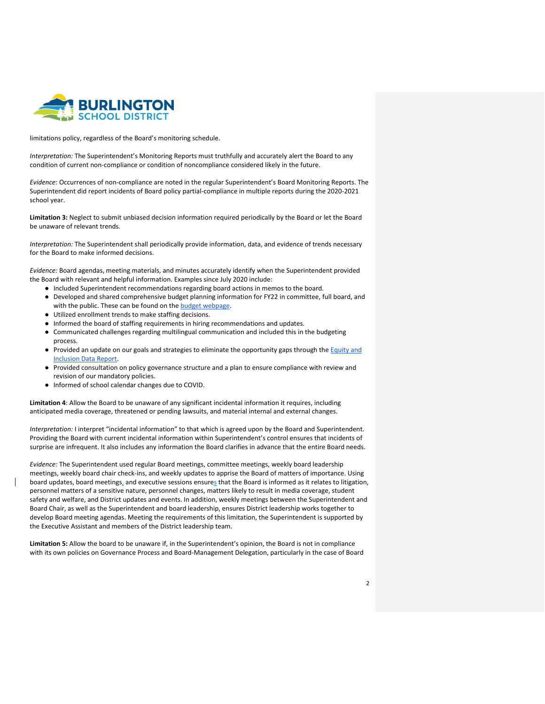

limitations policy, regardless of the Board's monitoring schedule.

*Interpretation:* The Superintendent's Monitoring Reports must truthfully and accurately alert the Board to any condition of current non-compliance or condition of noncompliance considered likely in the future.

*Evidence:* Occurrences of non-compliance are noted in the regular Superintendent's Board Monitoring Reports. The Superintendent did report incidents of Board policy partial-compliance in multiple reports during the 2020-2021 school year.

**Limitation 3:** Neglect to submit unbiased decision information required periodically by the Board or let the Board be unaware of relevant trends.

*Interpretation:* The Superintendent shall periodically provide information, data, and evidence of trends necessary for the Board to make informed decisions.

*Evidence:* Board agendas, meeting materials, and minutes accurately identify when the Superintendent provided the Board with relevant and helpful information. Examples since July 2020 include:

- Included Superintendent recommendations regarding board actions in memos to the board.
- Developed and shared comprehensive budget planning information for FY22 in committee, full board, and with the public. These can be found on the **budget webpage**.
- Utilized enrollment trends to make staffing decisions.
- Informed the board of staffing requirements in hiring recommendations and updates.
- Communicated challenges regarding multilingual communication and included this in the budgeting process.
- Provided an update on our goals and strategies to eliminate the opportunity gaps through the Equity and [Inclusion Data Report.](https://www.bsdvt.org/district/superintendent/school-assessments-data/)
- Provided consultation on policy governance structure and a plan to ensure compliance with review and revision of our mandatory policies.
- Informed of school calendar changes due to COVID.

**Limitation 4**: Allow the Board to be unaware of any significant incidental information it requires, including anticipated media coverage, threatened or pending lawsuits, and material internal and external changes.

*Interpretation:* I interpret "incidental information" to that which is agreed upon by the Board and Superintendent. Providing the Board with current incidental information within Superintendent's control ensures that incidents of surprise are infrequent. It also includes any information the Board clarifies in advance that the entire Board needs.

*Evidence:* The Superintendent used regular Board meetings, committee meetings, weekly board leadership meetings, weekly board chair check-ins, and weekly updates to apprise the Board of matters of importance. Using board updates, board meetings, and executive sessions ensures that the Board is informed as it relates to litigation, personnel matters of a sensitive nature, personnel changes, matters likely to result in media coverage, student safety and welfare, and District updates and events. In addition, weekly meetings between the Superintendent and Board Chair, as well as the Superintendent and board leadership, ensures District leadership works together to develop Board meeting agendas. Meeting the requirements of this limitation, the Superintendent is supported by the Executive Assistant and members of the District leadership team.

**Limitation 5:** Allow the board to be unaware if, in the Superintendent's opinion, the Board is not in compliance with its own policies on Governance Process and Board-Management Delegation, particularly in the case of Board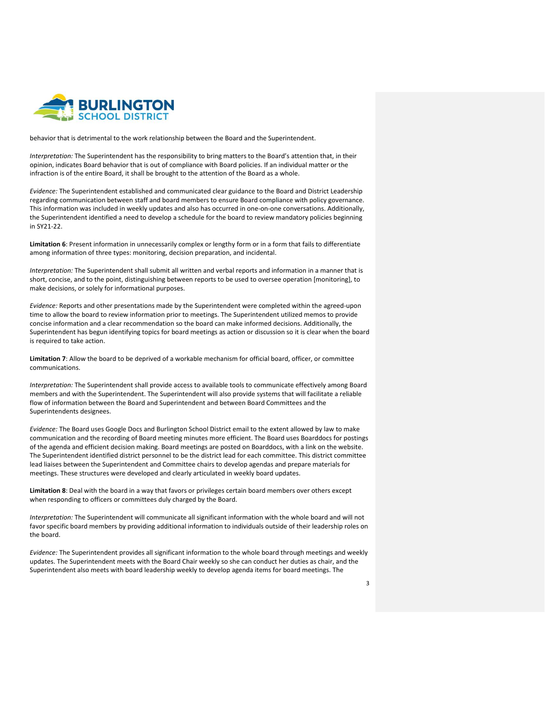

behavior that is detrimental to the work relationship between the Board and the Superintendent.

*Interpretation:* The Superintendent has the responsibility to bring matters to the Board's attention that, in their opinion, indicates Board behavior that is out of compliance with Board policies. If an individual matter or the infraction is of the entire Board, it shall be brought to the attention of the Board as a whole.

*Evidence:* The Superintendent established and communicated clear guidance to the Board and District Leadership regarding communication between staff and board members to ensure Board compliance with policy governance. This information was included in weekly updates and also has occurred in one-on-one conversations. Additionally, the Superintendent identified a need to develop a schedule for the board to review mandatory policies beginning in SY21-22.

**Limitation 6**: Present information in unnecessarily complex or lengthy form or in a form that fails to differentiate among information of three types: monitoring, decision preparation, and incidental.

*Interpretation:* The Superintendent shall submit all written and verbal reports and information in a manner that is short, concise, and to the point, distinguishing between reports to be used to oversee operation [monitoring], to make decisions, or solely for informational purposes.

*Evidence:* Reports and other presentations made by the Superintendent were completed within the agreed-upon time to allow the board to review information prior to meetings. The Superintendent utilized memos to provide concise information and a clear recommendation so the board can make informed decisions. Additionally, the Superintendent has begun identifying topics for board meetings as action or discussion so it is clear when the board is required to take action.

**Limitation 7**: Allow the board to be deprived of a workable mechanism for official board, officer, or committee communications.

*Interpretation:* The Superintendent shall provide access to available tools to communicate effectively among Board members and with the Superintendent. The Superintendent will also provide systems that will facilitate a reliable flow of information between the Board and Superintendent and between Board Committees and the Superintendents designees.

*Evidence:* The Board uses Google Docs and Burlington School District email to the extent allowed by law to make communication and the recording of Board meeting minutes more efficient. The Board uses Boarddocs for postings of the agenda and efficient decision making. Board meetings are posted on Boarddocs, with a link on the website. The Superintendent identified district personnel to be the district lead for each committee. This district committee lead liaises between the Superintendent and Committee chairs to develop agendas and prepare materials for meetings. These structures were developed and clearly articulated in weekly board updates.

**Limitation 8**: Deal with the board in a way that favors or privileges certain board members over others except when responding to officers or committees duly charged by the Board.

*Interpretation:* The Superintendent will communicate all significant information with the whole board and will not favor specific board members by providing additional information to individuals outside of their leadership roles on the board.

*Evidence:* The Superintendent provides all significant information to the whole board through meetings and weekly updates. The Superintendent meets with the Board Chair weekly so she can conduct her duties as chair, and the Superintendent also meets with board leadership weekly to develop agenda items for board meetings. The